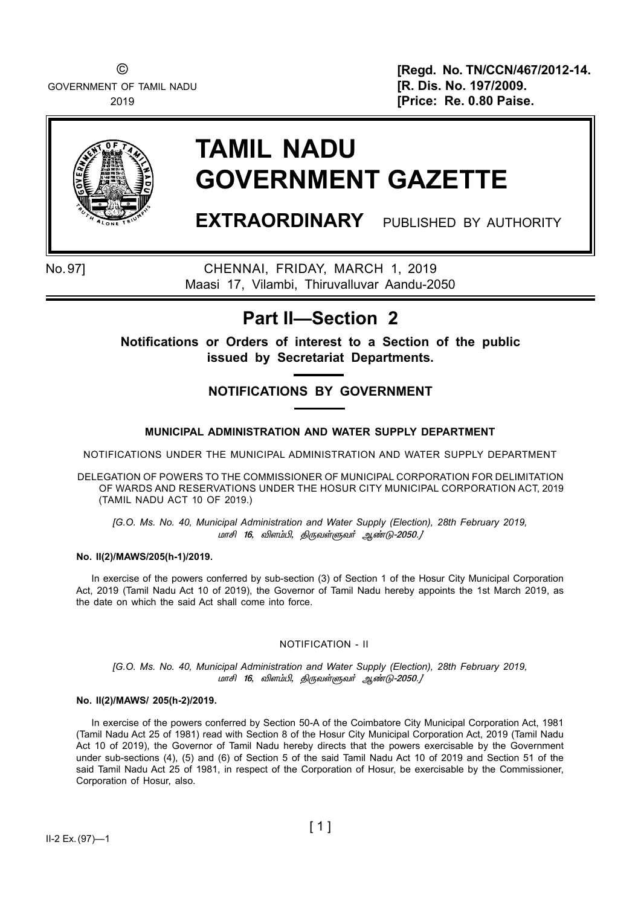GOVERNMENT OF TAMIL NADU **[R. Dis. No. 197/2009.** 

© **[Regd. No. TN/CCN/467/2012-14.** 2019 **[Price: Re. 0.80 Paise.** 



# **TAMIL NADU GOVERNMENT GAZETTE**

**EXTRAORDINARY** PUBLISHED BY AUTHORITY

No.97] CHENNAI, FRIDAY, MARCH 1, 2019 Maasi 17, Vilambi, Thiruvalluvar Aandu-2050

## **Part II—Section 2**

**Notifications or Orders of interest to a Section of the public issued by Secretariat Departments.**

### **NotificationS by government**

#### **municipal administration and water supply department**

Notifications under the municipal Administration and water supply department

delegation of powers to the commissioner of municipal corporation for delimitation of wards and reservations under the hosur city municipal corporation act, 2019 (Tamil Nadu Act 10 of 2019.)

*[G.O. Ms. No. 40, Municipal Administration and Water Supply (Election), 28th February 2019,*  மாசி 16, விளம்பி, திருவள்ளுவர் ஆண்டு-2050*.]* 

#### **No. II(2)/MAWS/205(h-1)/2019.**

In exercise of the powers conferred by sub-section (3) of Section 1 of the Hosur City Municipal Corporation Act, 2019 (Tamil Nadu Act 10 of 2019), the Governor of Tamil Nadu hereby appoints the 1st March 2019, as the date on which the said Act shall come into force.

#### NOTIFICATION - II

*[G.O. Ms. No. 40, Municipal Administration and Water Supply (Election), 28th February 2019,*  மாசி 16, விளம்பி, திருவள்ளுவர் ஆண்டு-2050*.]* 

#### **No. II(2)/MAWS/ 205(h-2)/2019.**

In exercise of the powers conferred by Section 50-A of the Coimbatore City Municipal Corporation Act, 1981 (Tamil Nadu Act 25 of 1981) read with Section 8 of the Hosur City Municipal Corporation Act, 2019 (Tamil Nadu Act 10 of 2019), the Governor of Tamil Nadu hereby directs that the powers exercisable by the Government under sub-sections (4), (5) and (6) of Section 5 of the said Tamil Nadu Act 10 of 2019 and Section 51 of the said Tamil Nadu Act 25 of 1981, in respect of the Corporation of Hosur, be exercisable by the Commissioner, Corporation of Hosur, also.